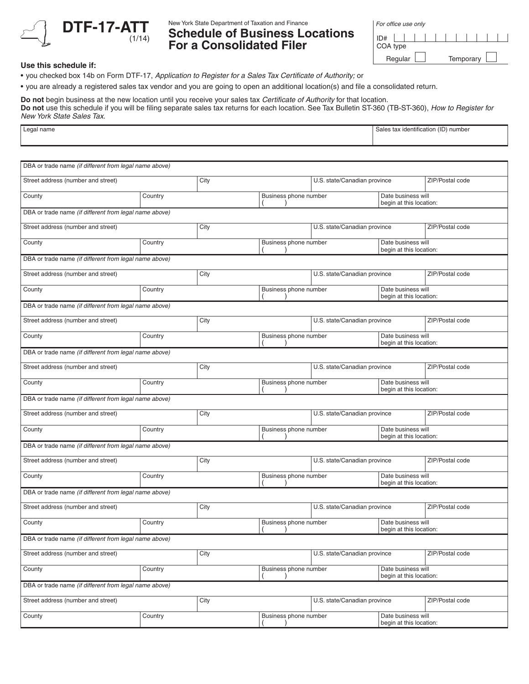

New York State Department of Taxation and Finance

## **Schedule of Business Locations For a Consolidated Filer**

| For office use only |  |  |  |  |  |
|---------------------|--|--|--|--|--|
| . 1                 |  |  |  |  |  |

| ID#      |         |  |  |  |           |  |  |
|----------|---------|--|--|--|-----------|--|--|
| COA type |         |  |  |  |           |  |  |
|          | Regular |  |  |  | Temporary |  |  |

## **Use this schedule if:**

• you checked box 14b on Form DTF-17, *Application to Register for a Sales Tax Certificate of Authority;* or

• you are already a registered sales tax vendor and you are going to open an additional location(s) and file a consolidated return.

**Do not** begin business at the new location until you receive your sales tax *Certificate of Authority* for that location.

**Do not** use this schedule if you will be filing separate sales tax returns for each location. See Tax Bulletin ST-360 (TB-ST-360), *How to Register for New York State Sales Tax*.

| ∟egal name | $\cdots$<br>$-0.48$<br>1171<br>) number<br>s tax identification<br>Sales<br>. |
|------------|-------------------------------------------------------------------------------|
|            |                                                                               |

| DBA or trade name (if different from legal name above) |         |                       |                       |                              |                                               |                 |  |
|--------------------------------------------------------|---------|-----------------------|-----------------------|------------------------------|-----------------------------------------------|-----------------|--|
| Street address (number and street)                     |         | City                  |                       | U.S. state/Canadian province |                                               | ZIP/Postal code |  |
| County                                                 | Country | Business phone number |                       |                              | Date business will<br>begin at this location: |                 |  |
| DBA or trade name (if different from legal name above) |         |                       |                       |                              |                                               |                 |  |
| Street address (number and street)                     |         | City                  |                       | U.S. state/Canadian province |                                               | ZIP/Postal code |  |
| County                                                 | Country |                       | Business phone number |                              | Date business will<br>begin at this location: |                 |  |
| DBA or trade name (if different from legal name above) |         |                       |                       |                              |                                               |                 |  |
| Street address (number and street)                     |         | City                  |                       | U.S. state/Canadian province |                                               | ZIP/Postal code |  |
| County                                                 | Country |                       | Business phone number |                              | Date business will<br>begin at this location: |                 |  |
| DBA or trade name (if different from legal name above) |         |                       |                       |                              |                                               |                 |  |
| Street address (number and street)                     |         | City                  |                       | U.S. state/Canadian province |                                               | ZIP/Postal code |  |
| County                                                 | Country |                       | Business phone number |                              | Date business will<br>begin at this location: |                 |  |
| DBA or trade name (if different from legal name above) |         |                       |                       |                              |                                               |                 |  |
| Street address (number and street)                     |         | City                  |                       | U.S. state/Canadian province |                                               | ZIP/Postal code |  |
| County                                                 | Country | Business phone number |                       |                              | Date business will<br>begin at this location: |                 |  |
| DBA or trade name (if different from legal name above) |         |                       |                       |                              |                                               |                 |  |
| Street address (number and street)                     |         | City                  |                       | U.S. state/Canadian province |                                               | ZIP/Postal code |  |
| County                                                 | Country |                       | Business phone number |                              | Date business will<br>begin at this location: |                 |  |
| DBA or trade name (if different from legal name above) |         |                       |                       |                              |                                               |                 |  |
| Street address (number and street)                     |         | City                  |                       | U.S. state/Canadian province |                                               | ZIP/Postal code |  |
| County                                                 | Country |                       | Business phone number |                              | Date business will<br>begin at this location: |                 |  |
| DBA or trade name (if different from legal name above) |         |                       |                       |                              |                                               |                 |  |
| Street address (number and street)                     |         | City                  |                       | U.S. state/Canadian province |                                               | ZIP/Postal code |  |
| County                                                 | Country |                       | Business phone number |                              | Date business will<br>begin at this location: |                 |  |
| DBA or trade name (if different from legal name above) |         |                       |                       |                              |                                               |                 |  |
| Street address (number and street)                     |         | City                  |                       | U.S. state/Canadian province |                                               | ZIP/Postal code |  |
| County                                                 | Country |                       | Business phone number |                              | Date business will<br>begin at this location: |                 |  |
| DBA or trade name (if different from legal name above) |         |                       |                       |                              |                                               |                 |  |
| Street address (number and street)                     |         | City                  |                       | U.S. state/Canadian province |                                               | ZIP/Postal code |  |
| County                                                 | Country |                       | Business phone number |                              | Date business will<br>begin at this location: |                 |  |
|                                                        |         |                       |                       |                              |                                               |                 |  |